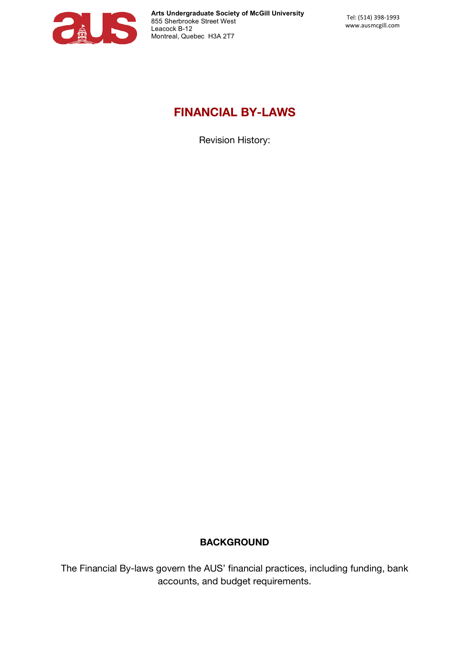

# **FINANCIAL BY-LAWS**

Revision History:

# **BACKGROUND**

The Financial By-laws govern the AUS' financial practices, including funding, bank accounts, and budget requirements.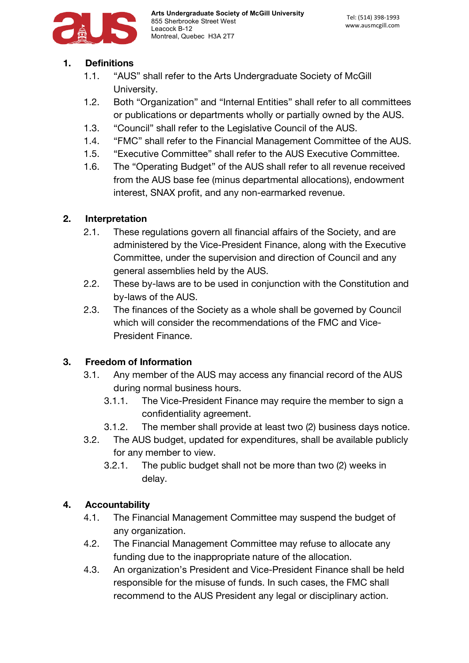

## **1. Definitions**

- 1.1. "AUS" shall refer to the Arts Undergraduate Society of McGill University.
- 1.2. Both "Organization" and "Internal Entities" shall refer to all committees or publications or departments wholly or partially owned by the AUS.
- 1.3. "Council" shall refer to the Legislative Council of the AUS.
- 1.4. "FMC" shall refer to the Financial Management Committee of the AUS.
- 1.5. "Executive Committee" shall refer to the AUS Executive Committee.
- 1.6. The "Operating Budget" of the AUS shall refer to all revenue received from the AUS base fee (minus departmental allocations), endowment interest, SNAX profit, and any non-earmarked revenue.

## **2. Interpretation**

- 2.1. These regulations govern all financial affairs of the Society, and are administered by the Vice-President Finance, along with the Executive Committee, under the supervision and direction of Council and any general assemblies held by the AUS.
- 2.2. These by-laws are to be used in conjunction with the Constitution and by-laws of the AUS.
- 2.3. The finances of the Society as a whole shall be governed by Council which will consider the recommendations of the FMC and Vice-President Finance.

#### **3. Freedom of Information**

- 3.1. Any member of the AUS may access any financial record of the AUS during normal business hours.
	- 3.1.1. The Vice-President Finance may require the member to sign a confidentiality agreement.
	- 3.1.2. The member shall provide at least two (2) business days notice.
- 3.2. The AUS budget, updated for expenditures, shall be available publicly for any member to view.
	- 3.2.1. The public budget shall not be more than two (2) weeks in delay.

#### **4. Accountability**

- 4.1. The Financial Management Committee may suspend the budget of any organization.
- 4.2. The Financial Management Committee may refuse to allocate any funding due to the inappropriate nature of the allocation.
- 4.3. An organization's President and Vice-President Finance shall be held responsible for the misuse of funds. In such cases, the FMC shall recommend to the AUS President any legal or disciplinary action.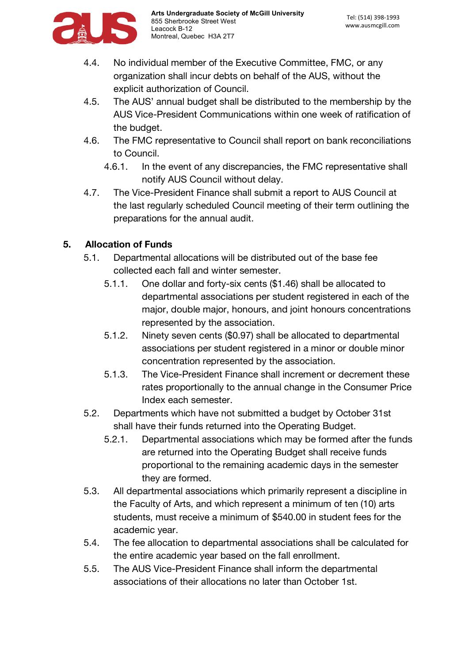

- 4.4. No individual member of the Executive Committee, FMC, or any organization shall incur debts on behalf of the AUS, without the explicit authorization of Council.
- 4.5. The AUS' annual budget shall be distributed to the membership by the AUS Vice-President Communications within one week of ratification of the budget.
- 4.6. The FMC representative to Council shall report on bank reconciliations to Council.
	- 4.6.1. In the event of any discrepancies, the FMC representative shall notify AUS Council without delay.
- 4.7. The Vice-President Finance shall submit a report to AUS Council at the last regularly scheduled Council meeting of their term outlining the preparations for the annual audit.

# **5. Allocation of Funds**

- 5.1. Departmental allocations will be distributed out of the base fee collected each fall and winter semester.
	- 5.1.1. One dollar and forty-six cents (\$1.46) shall be allocated to departmental associations per student registered in each of the major, double major, honours, and joint honours concentrations represented by the association.
	- 5.1.2. Ninety seven cents (\$0.97) shall be allocated to departmental associations per student registered in a minor or double minor concentration represented by the association.
	- 5.1.3. The Vice-President Finance shall increment or decrement these rates proportionally to the annual change in the Consumer Price Index each semester.
- 5.2. Departments which have not submitted a budget by October 31st shall have their funds returned into the Operating Budget.
	- 5.2.1. Departmental associations which may be formed after the funds are returned into the Operating Budget shall receive funds proportional to the remaining academic days in the semester they are formed.
- 5.3. All departmental associations which primarily represent a discipline in the Faculty of Arts, and which represent a minimum of ten (10) arts students, must receive a minimum of \$540.00 in student fees for the academic year.
- 5.4. The fee allocation to departmental associations shall be calculated for the entire academic year based on the fall enrollment.
- 5.5. The AUS Vice-President Finance shall inform the departmental associations of their allocations no later than October 1st.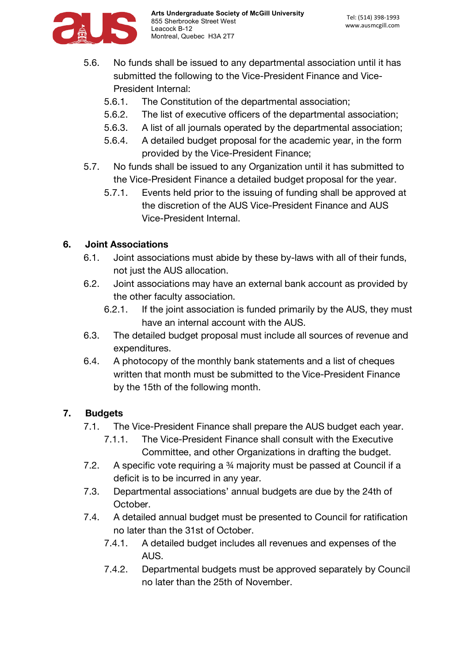

- 5.6. No funds shall be issued to any departmental association until it has submitted the following to the Vice-President Finance and Vice-President Internal:
	- 5.6.1. The Constitution of the departmental association;
	- 5.6.2. The list of executive officers of the departmental association;
	- 5.6.3. A list of all journals operated by the departmental association;
	- 5.6.4. A detailed budget proposal for the academic year, in the form provided by the Vice-President Finance;
- 5.7. No funds shall be issued to any Organization until it has submitted to the Vice-President Finance a detailed budget proposal for the year.
	- 5.7.1. Events held prior to the issuing of funding shall be approved at the discretion of the AUS Vice-President Finance and AUS Vice-President Internal.

# **6. Joint Associations**

- 6.1. Joint associations must abide by these by-laws with all of their funds, not just the AUS allocation.
- 6.2. Joint associations may have an external bank account as provided by the other faculty association.
	- 6.2.1. If the joint association is funded primarily by the AUS, they must have an internal account with the AUS.
- 6.3. The detailed budget proposal must include all sources of revenue and expenditures.
- 6.4. A photocopy of the monthly bank statements and a list of cheques written that month must be submitted to the Vice-President Finance by the 15th of the following month.

# **7. Budgets**

- 7.1. The Vice-President Finance shall prepare the AUS budget each year.
	- 7.1.1. The Vice-President Finance shall consult with the Executive Committee, and other Organizations in drafting the budget.
- 7.2. A specific vote requiring a ¾ majority must be passed at Council if a deficit is to be incurred in any year.
- 7.3. Departmental associations' annual budgets are due by the 24th of October.
- 7.4. A detailed annual budget must be presented to Council for ratification no later than the 31st of October.
	- 7.4.1. A detailed budget includes all revenues and expenses of the AUS.
	- 7.4.2. Departmental budgets must be approved separately by Council no later than the 25th of November.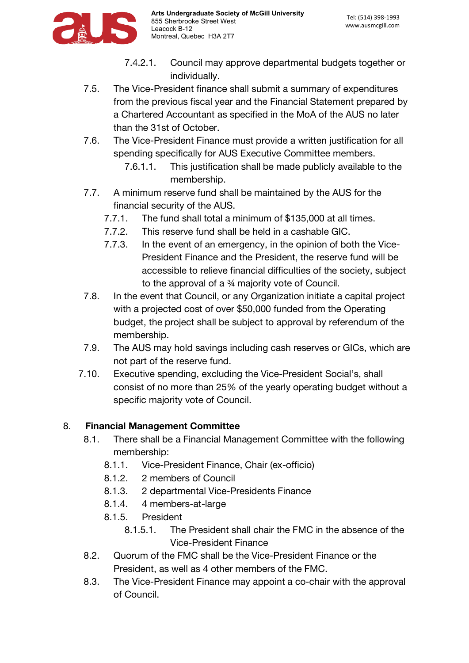

- 7.4.2.1. Council may approve departmental budgets together or individually.
- 7.5. The Vice-President finance shall submit a summary of expenditures from the previous fiscal year and the Financial Statement prepared by a Chartered Accountant as specified in the MoA of the AUS no later than the 31st of October.
- 7.6. The Vice-President Finance must provide a written justification for all spending specifically for AUS Executive Committee members.
	- 7.6.1.1. This justification shall be made publicly available to the membership.
- 7.7. A minimum reserve fund shall be maintained by the AUS for the financial security of the AUS.
	- 7.7.1. The fund shall total a minimum of \$135,000 at all times.
	- 7.7.2. This reserve fund shall be held in a cashable GIC.
	- 7.7.3. In the event of an emergency, in the opinion of both the Vice-President Finance and the President, the reserve fund will be accessible to relieve financial difficulties of the society, subject to the approval of a ¾ majority vote of Council.
- 7.8. In the event that Council, or any Organization initiate a capital project with a projected cost of over \$50,000 funded from the Operating budget, the project shall be subject to approval by referendum of the membership.
- 7.9. The AUS may hold savings including cash reserves or GICs, which are not part of the reserve fund.
- 7.10. Executive spending, excluding the Vice-President Social's, shall consist of no more than 25% of the yearly operating budget without a specific majority vote of Council.

# 8. **Financial Management Committee**

- 8.1. There shall be a Financial Management Committee with the following membership:
	- 8.1.1. Vice-President Finance, Chair (ex-officio)
	- 8.1.2. 2 members of Council
	- 8.1.3. 2 departmental Vice-Presidents Finance
	- 8.1.4. 4 members-at-large
	- 8.1.5. President
		- 8.1.5.1. The President shall chair the FMC in the absence of the Vice-President Finance
- 8.2. Quorum of the FMC shall be the Vice-President Finance or the President, as well as 4 other members of the FMC.
- 8.3. The Vice-President Finance may appoint a co-chair with the approval of Council.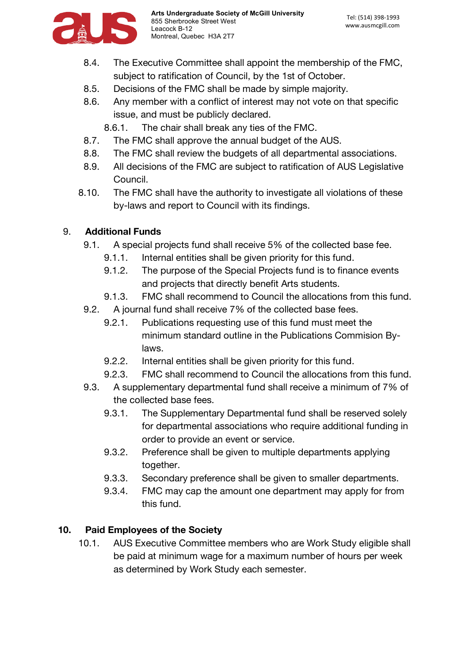

- 8.4. The Executive Committee shall appoint the membership of the FMC, subject to ratification of Council, by the 1st of October.
- 8.5. Decisions of the FMC shall be made by simple majority.
- 8.6. Any member with a conflict of interest may not vote on that specific issue, and must be publicly declared.
	- 8.6.1. The chair shall break any ties of the FMC.
- 8.7. The FMC shall approve the annual budget of the AUS.
- 8.8. The FMC shall review the budgets of all departmental associations.
- 8.9. All decisions of the FMC are subject to ratification of AUS Legislative Council.
- 8.10. The FMC shall have the authority to investigate all violations of these by-laws and report to Council with its findings.

#### 9. **Additional Funds**

- 9.1. A special projects fund shall receive 5% of the collected base fee.
	- 9.1.1. Internal entities shall be given priority for this fund.
	- 9.1.2. The purpose of the Special Projects fund is to finance events and projects that directly benefit Arts students.
	- 9.1.3. FMC shall recommend to Council the allocations from this fund.
- 9.2. A journal fund shall receive 7% of the collected base fees.
	- 9.2.1. Publications requesting use of this fund must meet the minimum standard outline in the Publications Commision Bylaws.
	- 9.2.2. Internal entities shall be given priority for this fund.
	- 9.2.3. FMC shall recommend to Council the allocations from this fund.
- 9.3. A supplementary departmental fund shall receive a minimum of 7% of the collected base fees.
	- 9.3.1. The Supplementary Departmental fund shall be reserved solely for departmental associations who require additional funding in order to provide an event or service.
	- 9.3.2. Preference shall be given to multiple departments applying together.
	- 9.3.3. Secondary preference shall be given to smaller departments.
	- 9.3.4. FMC may cap the amount one department may apply for from this fund.

# **10. Paid Employees of the Society**

10.1. AUS Executive Committee members who are Work Study eligible shall be paid at minimum wage for a maximum number of hours per week as determined by Work Study each semester.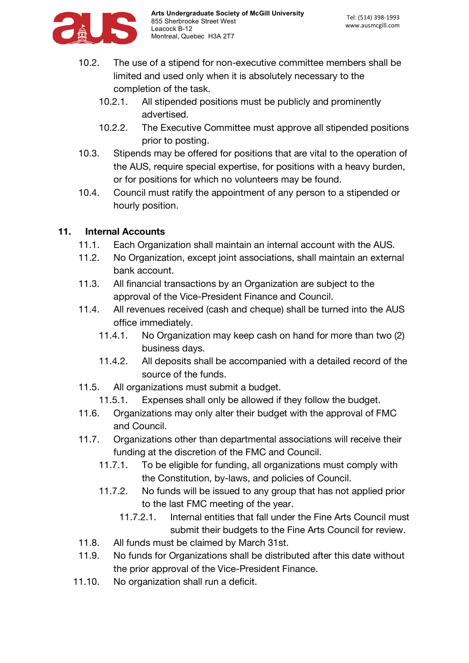

- 10.2. The use of a stipend for non-executive committee members shall be limited and used only when it is absolutely necessary to the completion of the task.
	- 10.2.1. All stipended positions must be publicly and prominently advertised.
	- 10.2.2. The Executive Committee must approve all stipended positions prior to posting.
- 10.3. Stipends may be offered for positions that are vital to the operation of the AUS, require special expertise, for positions with a heavy burden, or for positions for which no volunteers may be found.
- 10.4. Council must ratify the appointment of any person to a stipended or hourly position.

## **11. Internal Accounts**

- 11.1. Each Organization shall maintain an internal account with the AUS.
- 11.2. No Organization, except joint associations, shall maintain an external bank account.
- 11.3. All financial transactions by an Organization are subject to the approval of the Vice-President Finance and Council.
- 11.4. All revenues received (cash and cheque) shall be turned into the AUS office immediately.
	- 11.4.1. No Organization may keep cash on hand for more than two (2) business days.
	- 11.4.2. All deposits shall be accompanied with a detailed record of the source of the funds.
- 11.5. All organizations must submit a budget.
	- 11.5.1. Expenses shall only be allowed if they follow the budget.
- 11.6. Organizations may only alter their budget with the approval of FMC and Council.
- 11.7. Organizations other than departmental associations will receive their funding at the discretion of the FMC and Council.
	- 11.7.1. To be eligible for funding, all organizations must comply with the Constitution, by-laws, and policies of Council.
	- 11.7.2. No funds will be issued to any group that has not applied prior to the last FMC meeting of the year.
		- 11.7.2.1. Internal entities that fall under the Fine Arts Council must submit their budgets to the Fine Arts Council for review.
- 11.8. All funds must be claimed by March 31st.
- 11.9. No funds for Organizations shall be distributed after this date without the prior approval of the Vice-President Finance.
- 11.10. No organization shall run a deficit.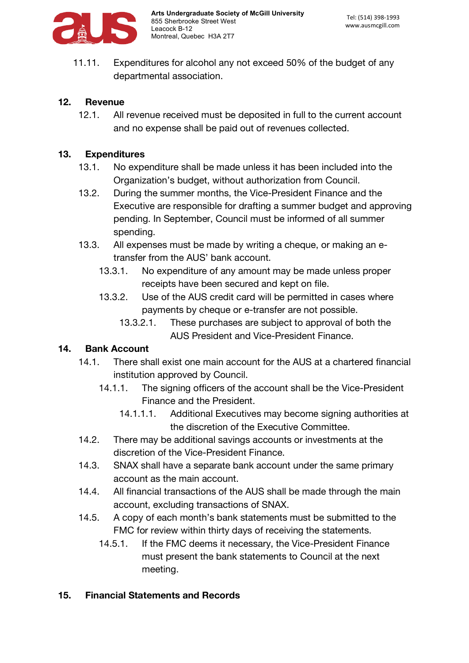

11.11. Expenditures for alcohol any not exceed 50% of the budget of any departmental association.

#### **12. Revenue**

12.1. All revenue received must be deposited in full to the current account and no expense shall be paid out of revenues collected.

#### **13. Expenditures**

- 13.1. No expenditure shall be made unless it has been included into the Organization's budget, without authorization from Council.
- 13.2. During the summer months, the Vice-President Finance and the Executive are responsible for drafting a summer budget and approving pending. In September, Council must be informed of all summer spending.
- 13.3. All expenses must be made by writing a cheque, or making an etransfer from the AUS' bank account.
	- 13.3.1. No expenditure of any amount may be made unless proper receipts have been secured and kept on file.
	- 13.3.2. Use of the AUS credit card will be permitted in cases where payments by cheque or e-transfer are not possible.
		- 13.3.2.1. These purchases are subject to approval of both the AUS President and Vice-President Finance.

#### **14. Bank Account**

- 14.1. There shall exist one main account for the AUS at a chartered financial institution approved by Council.
	- 14.1.1. The signing officers of the account shall be the Vice-President Finance and the President.
		- 14.1.1.1. Additional Executives may become signing authorities at the discretion of the Executive Committee.
- 14.2. There may be additional savings accounts or investments at the discretion of the Vice-President Finance.
- 14.3. SNAX shall have a separate bank account under the same primary account as the main account.
- 14.4. All financial transactions of the AUS shall be made through the main account, excluding transactions of SNAX.
- 14.5. A copy of each month's bank statements must be submitted to the FMC for review within thirty days of receiving the statements.
	- 14.5.1. If the FMC deems it necessary, the Vice-President Finance must present the bank statements to Council at the next meeting.

#### **15. Financial Statements and Records**